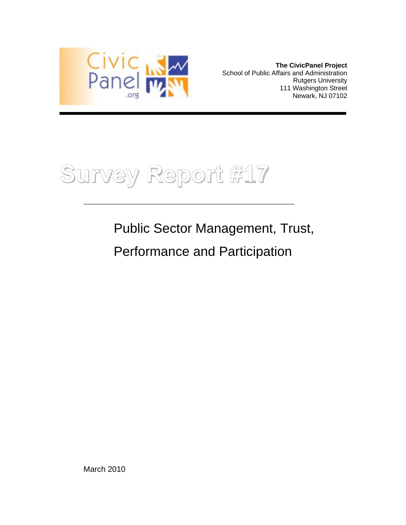

**The CivicPanel Project**  School of Public Affairs and Administration Rutgers University 111 Washington Street Newark, NJ 07102

**Survey Report #17**

Public Sector Management, Trust,

Performance and Participation

\_\_\_\_\_\_\_\_\_\_\_\_\_\_\_\_\_\_\_\_\_\_\_\_\_\_\_\_\_\_\_\_\_\_\_\_\_\_\_\_\_\_\_\_\_\_\_\_\_\_\_\_\_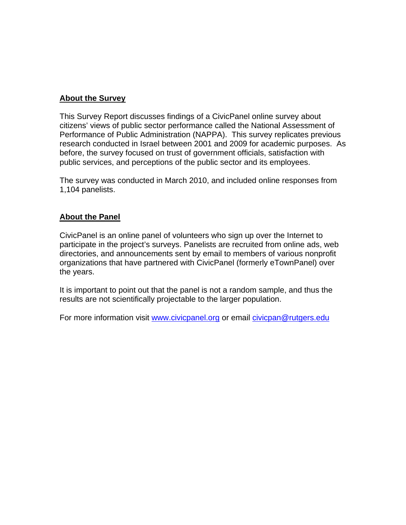## **About the Survey**

This Survey Report discusses findings of a CivicPanel online survey about citizens' views of public sector performance called the National Assessment of Performance of Public Administration (NAPPA). This survey replicates previous research conducted in Israel between 2001 and 2009 for academic purposes. As before, the survey focused on trust of government officials, satisfaction with public services, and perceptions of the public sector and its employees.

The survey was conducted in March 2010, and included online responses from 1,104 panelists.

## **About the Panel**

CivicPanel is an online panel of volunteers who sign up over the Internet to participate in the project's surveys. Panelists are recruited from online ads, web directories, and announcements sent by email to members of various nonprofit organizations that have partnered with CivicPanel (formerly eTownPanel) over the years.

It is important to point out that the panel is not a random sample, and thus the results are not scientifically projectable to the larger population.

For more information visit www.civicpanel.org or email civicpan@rutgers.edu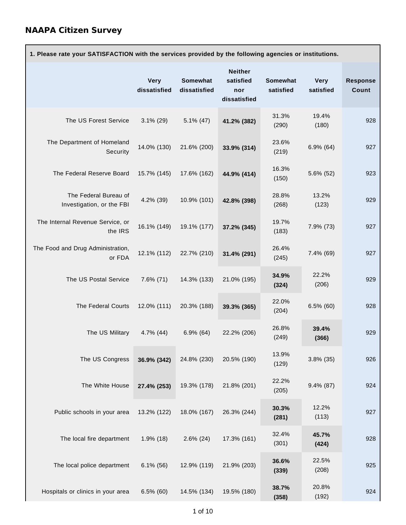| 1. Please rate your SATISFACTION with the services provided by the following agencies or institutions. |                             |                                 |                                                    |                       |                          |                          |
|--------------------------------------------------------------------------------------------------------|-----------------------------|---------------------------------|----------------------------------------------------|-----------------------|--------------------------|--------------------------|
|                                                                                                        | <b>Very</b><br>dissatisfied | <b>Somewhat</b><br>dissatisfied | <b>Neither</b><br>satisfied<br>nor<br>dissatisfied | Somewhat<br>satisfied | <b>Very</b><br>satisfied | <b>Response</b><br>Count |
| The US Forest Service                                                                                  | $3.1\%$ (29)                | $5.1\%$ (47)                    | 41.2% (382)                                        | 31.3%<br>(290)        | 19.4%<br>(180)           | 928                      |
| The Department of Homeland<br>Security                                                                 | 14.0% (130)                 | 21.6% (200)                     | 33.9% (314)                                        | 23.6%<br>(219)        | $6.9\%$ $(64)$           | 927                      |
| The Federal Reserve Board                                                                              | 15.7% (145)                 | 17.6% (162)                     | 44.9% (414)                                        | 16.3%<br>(150)        | 5.6% (52)                | 923                      |
| The Federal Bureau of<br>Investigation, or the FBI                                                     | 4.2% (39)                   | 10.9% (101)                     | 42.8% (398)                                        | 28.8%<br>(268)        | 13.2%<br>(123)           | 929                      |
| The Internal Revenue Service, or<br>the IRS                                                            | 16.1% (149)                 | 19.1% (177)                     | 37.2% (345)                                        | 19.7%<br>(183)        | 7.9% (73)                | 927                      |
| The Food and Drug Administration,<br>or FDA                                                            | 12.1% (112)                 | 22.7% (210)                     | 31.4% (291)                                        | 26.4%<br>(245)        | 7.4% (69)                | 927                      |
| The US Postal Service                                                                                  | $7.6\%$ (71)                | 14.3% (133)                     | 21.0% (195)                                        | 34.9%<br>(324)        | 22.2%<br>(206)           | 929                      |
| The Federal Courts                                                                                     | 12.0% (111)                 | 20.3% (188)                     | 39.3% (365)                                        | 22.0%<br>(204)        | $6.5\%$ (60)             | 928                      |
| The US Military                                                                                        | $4.7\%$ (44)                | $6.9\%$ (64)                    | 22.2% (206)                                        | 26.8%<br>(249)        | 39.4%<br>(366)           | 929                      |
| The US Congress                                                                                        | 36.9% (342)                 | 24.8% (230)                     | 20.5% (190)                                        | 13.9%<br>(129)        | $3.8\%$ (35)             | 926                      |
| The White House                                                                                        | 27.4% (253)                 | 19.3% (178)                     | 21.8% (201)                                        | 22.2%<br>(205)        | $9.4\%$ (87)             | 924                      |
| Public schools in your area                                                                            | 13.2% (122)                 | 18.0% (167)                     | 26.3% (244)                                        | 30.3%<br>(281)        | 12.2%<br>(113)           | 927                      |
| The local fire department                                                                              | $1.9\%$ (18)                | $2.6\%$ (24)                    | 17.3% (161)                                        | 32.4%<br>(301)        | 45.7%<br>(424)           | 928                      |
| The local police department                                                                            | $6.1\%$ (56)                | 12.9% (119)                     | 21.9% (203)                                        | 36.6%<br>(339)        | 22.5%<br>(208)           | 925                      |
| Hospitals or clinics in your area                                                                      | $6.5\%$ (60)                | 14.5% (134)                     | 19.5% (180)                                        | 38.7%<br>(358)        | 20.8%<br>(192)           | 924                      |

٦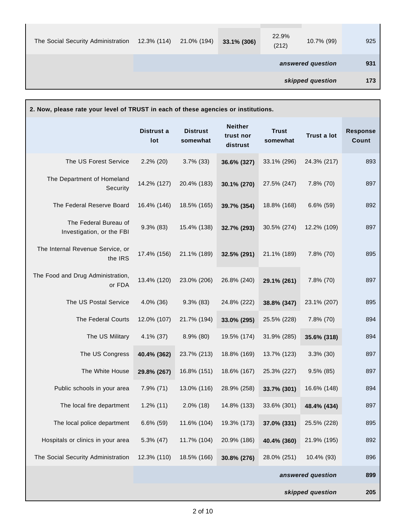| The Social Security Administration | 12.3% (114) | 21.0% (194) | 33.1% (306) | 22.9%<br>(212) | 10.7% (99)        | 925 |
|------------------------------------|-------------|-------------|-------------|----------------|-------------------|-----|
|                                    |             |             |             |                | answered question | 931 |
|                                    |             |             |             |                | skipped question  | 173 |

| 2. Now, please rate your level of TRUST in each of these agencies or institutions. |                   |                             |                                         |                          |                    |                          |
|------------------------------------------------------------------------------------|-------------------|-----------------------------|-----------------------------------------|--------------------------|--------------------|--------------------------|
|                                                                                    | Distrust a<br>lot | <b>Distrust</b><br>somewhat | <b>Neither</b><br>trust nor<br>distrust | <b>Trust</b><br>somewhat | <b>Trust a lot</b> | <b>Response</b><br>Count |
| The US Forest Service                                                              | $2.2\%$ (20)      | $3.7\%$ (33)                | 36.6% (327)                             | 33.1% (296)              | 24.3% (217)        | 893                      |
| The Department of Homeland<br>Security                                             | 14.2% (127)       | 20.4% (183)                 | 30.1% (270)                             | 27.5% (247)              | 7.8% (70)          | 897                      |
| The Federal Reserve Board                                                          | 16.4% (146)       | 18.5% (165)                 | 39.7% (354)                             | 18.8% (168)              | $6.6\%$ (59)       | 892                      |
| The Federal Bureau of<br>Investigation, or the FBI                                 | $9.3\%$ (83)      | 15.4% (138)                 | 32.7% (293)                             | 30.5% (274)              | 12.2% (109)        | 897                      |
| The Internal Revenue Service, or<br>the IRS                                        | 17.4% (156)       | 21.1% (189)                 | 32.5% (291)                             | 21.1% (189)              | 7.8% (70)          | 895                      |
| The Food and Drug Administration,<br>or FDA                                        | 13.4% (120)       | 23.0% (206)                 | 26.8% (240)                             | 29.1% (261)              | 7.8% (70)          | 897                      |
| The US Postal Service                                                              | 4.0% (36)         | $9.3\%$ (83)                | 24.8% (222)                             | 38.8% (347)              | 23.1% (207)        | 895                      |
| The Federal Courts                                                                 | 12.0% (107)       | 21.7% (194)                 | 33.0% (295)                             | 25.5% (228)              | 7.8% (70)          | 894                      |
| The US Military                                                                    | 4.1% (37)         | $8.9\%$ (80)                | 19.5% (174)                             | 31.9% (285)              | 35.6% (318)        | 894                      |
| The US Congress                                                                    | 40.4% (362)       | 23.7% (213)                 | 18.8% (169)                             | 13.7% (123)              | $3.3\%$ (30)       | 897                      |
| The White House                                                                    | 29.8% (267)       | 16.8% (151)                 | 18.6% (167)                             | 25.3% (227)              | $9.5\%$ (85)       | 897                      |
| Public schools in your area                                                        | 7.9% (71)         | 13.0% (116)                 | 28.9% (258)                             | 33.7% (301)              | 16.6% (148)        | 894                      |
| The local fire department                                                          | $1.2\%$ (11)      | $2.0\%$ (18)                | 14.8% (133)                             | 33.6% (301)              | 48.4% (434)        | 897                      |
| The local police department                                                        | $6.6\%$ (59)      | 11.6% (104)                 | 19.3% (173)                             | 37.0% (331)              | 25.5% (228)        | 895                      |
| Hospitals or clinics in your area                                                  | $5.3\%$ (47)      | 11.7% (104)                 | 20.9% (186)                             | 40.4% (360)              | 21.9% (195)        | 892                      |
| The Social Security Administration                                                 | 12.3% (110)       | 18.5% (166)                 | 30.8% (276)                             | 28.0% (251)              | 10.4% (93)         | 896                      |
|                                                                                    |                   |                             |                                         |                          | answered question  | 899                      |
|                                                                                    |                   |                             |                                         |                          |                    |                          |

**skipped question 205**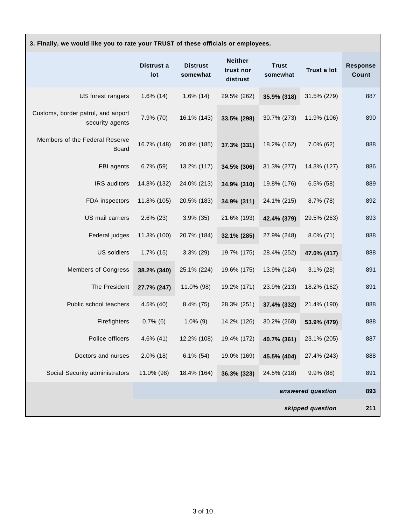| 3. Finally, we would like you to rate your TRUST of these officials or employees. |                   |                             |                                         |                          |              |                          |
|-----------------------------------------------------------------------------------|-------------------|-----------------------------|-----------------------------------------|--------------------------|--------------|--------------------------|
|                                                                                   | Distrust a<br>lot | <b>Distrust</b><br>somewhat | <b>Neither</b><br>trust nor<br>distrust | <b>Trust</b><br>somewhat | Trust a lot  | <b>Response</b><br>Count |
| US forest rangers                                                                 | $1.6\%$ (14)      | $1.6\%$ (14)                | 29.5% (262)                             | 35.9% (318)              | 31.5% (279)  | 887                      |
| Customs, border patrol, and airport<br>security agents                            | 7.9% (70)         | 16.1% (143)                 | 33.5% (298)                             | 30.7% (273)              | 11.9% (106)  | 890                      |
| Members of the Federal Reserve<br><b>Board</b>                                    | 16.7% (148)       | 20.8% (185)                 | 37.3% (331)                             | 18.2% (162)              | 7.0% (62)    | 888                      |
| FBI agents                                                                        | $6.7\%$ (59)      | 13.2% (117)                 | 34.5% (306)                             | 31.3% (277)              | 14.3% (127)  | 886                      |
| IRS auditors                                                                      | 14.8% (132)       | 24.0% (213)                 | 34.9% (310)                             | 19.8% (176)              | $6.5\%$ (58) | 889                      |
| FDA inspectors                                                                    | 11.8% (105)       | 20.5% (183)                 | 34.9% (311)                             | 24.1% (215)              | 8.7% (78)    | 892                      |
| US mail carriers                                                                  | $2.6\%$ (23)      | $3.9\%$ (35)                | 21.6% (193)                             | 42.4% (379)              | 29.5% (263)  | 893                      |
| Federal judges                                                                    | 11.3% (100)       | 20.7% (184)                 | 32.1% (285)                             | 27.9% (248)              | $8.0\%$ (71) | 888                      |
| <b>US</b> soldiers                                                                | $1.7\%$ (15)      | $3.3\%$ (29)                | 19.7% (175)                             | 28.4% (252)              | 47.0% (417)  | 888                      |
| <b>Members of Congress</b>                                                        | 38.2% (340)       | 25.1% (224)                 | 19.6% (175)                             | 13.9% (124)              | $3.1\%$ (28) | 891                      |
| The President                                                                     | 27.7% (247)       | 11.0% (98)                  | 19.2% (171)                             | 23.9% (213)              | 18.2% (162)  | 891                      |
| Public school teachers                                                            | 4.5% (40)         | $8.4\%$ (75)                | 28.3% (251)                             | 37.4% (332)              | 21.4% (190)  | 888                      |
| Firefighters                                                                      | $0.7\%$ (6)       | $1.0\%$ (9)                 | 14.2% (126)                             | 30.2% (268)              | 53.9% (479)  | 888                      |
| Police officers                                                                   | 4.6% (41)         | 12.2% (108)                 | 19.4% (172)                             | 40.7% (361)              | 23.1% (205)  | 887                      |
| Doctors and nurses                                                                | $2.0\%$ (18)      | $6.1\%$ (54)                | 19.0% (169)                             | 45.5% (404)              | 27.4% (243)  | 888                      |
| Social Security administrators                                                    | 11.0% (98)        | 18.4% (164)                 | 36.3% (323)                             | 24.5% (218)              | 9.9% (88)    | 891                      |
| answered question                                                                 |                   |                             |                                         |                          | 893          |                          |
| skipped question                                                                  |                   |                             |                                         |                          | 211          |                          |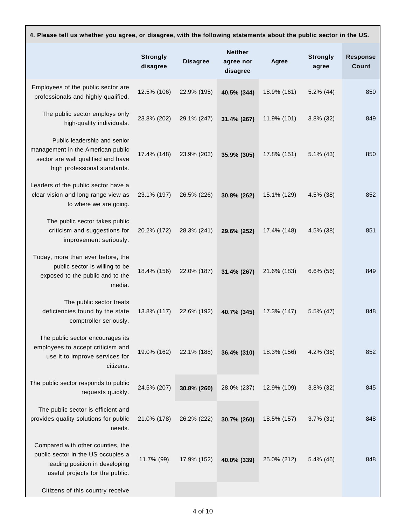| 4. Please tell us whether you agree, or disagree, with the following statements about the public sector in the US. |                 |                                         |       |                          |                          |
|--------------------------------------------------------------------------------------------------------------------|-----------------|-----------------------------------------|-------|--------------------------|--------------------------|
| Strongly<br>disagree                                                                                               | <b>Disagree</b> | <b>Neither</b><br>agree nor<br>disagree | Agree | <b>Strongly</b><br>agree | <b>Response</b><br>Count |

| Employees of the public sector are<br>professionals and highly qualified.                                                                    | 12.5% (106) | 22.9% (195) | 40.5% (344) | 18.9% (161) | $5.2\%$ (44) | 850 |
|----------------------------------------------------------------------------------------------------------------------------------------------|-------------|-------------|-------------|-------------|--------------|-----|
| The public sector employs only<br>high-quality individuals.                                                                                  | 23.8% (202) | 29.1% (247) | 31.4% (267) | 11.9% (101) | $3.8\%$ (32) | 849 |
| Public leadership and senior<br>management in the American public<br>sector are well qualified and have<br>high professional standards.      | 17.4% (148) | 23.9% (203) | 35.9% (305) | 17.8% (151) | $5.1\%$ (43) | 850 |
| Leaders of the public sector have a<br>clear vision and long range view as<br>to where we are going.                                         | 23.1% (197) | 26.5% (226) | 30.8% (262) | 15.1% (129) | 4.5% (38)    | 852 |
| The public sector takes public<br>criticism and suggestions for<br>improvement seriously.                                                    | 20.2% (172) | 28.3% (241) | 29.6% (252) | 17.4% (148) | 4.5% (38)    | 851 |
| Today, more than ever before, the<br>public sector is willing to be<br>exposed to the public and to the<br>media.                            | 18.4% (156) | 22.0% (187) | 31.4% (267) | 21.6% (183) | $6.6\%$ (56) | 849 |
| The public sector treats<br>deficiencies found by the state<br>comptroller seriously.                                                        | 13.8% (117) | 22.6% (192) | 40.7% (345) | 17.3% (147) | 5.5% (47)    | 848 |
| The public sector encourages its<br>employees to accept criticism and<br>use it to improve services for<br>citizens.                         | 19.0% (162) | 22.1% (188) | 36.4% (310) | 18.3% (156) | 4.2% (36)    | 852 |
| The public sector responds to public<br>requests quickly.                                                                                    | 24.5% (207) | 30.8% (260) | 28.0% (237) | 12.9% (109) | $3.8\%$ (32) | 845 |
| The public sector is efficient and<br>provides quality solutions for public<br>needs.                                                        | 21.0% (178) | 26.2% (222) | 30.7% (260) | 18.5% (157) | $3.7\%$ (31) | 848 |
| Compared with other counties, the<br>public sector in the US occupies a<br>leading position in developing<br>useful projects for the public. | 11.7% (99)  | 17.9% (152) | 40.0% (339) | 25.0% (212) | 5.4% (46)    | 848 |
| Citizens of this country receive                                                                                                             |             |             |             |             |              |     |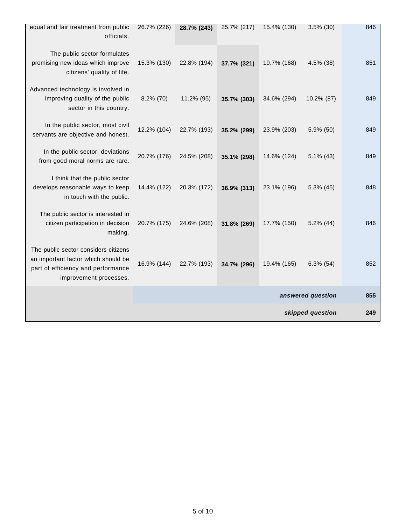| equal and fair treatment from public<br>officials.                                                                                          | 26.7% (226) | 28.7% (243) | 25.7% (217) | 15.4% (130) | $3.5\%$ (30)      | 846 |
|---------------------------------------------------------------------------------------------------------------------------------------------|-------------|-------------|-------------|-------------|-------------------|-----|
| The public sector formulates<br>promising new ideas which improve<br>citizens' quality of life.                                             | 15.3% (130) | 22.8% (194) | 37.7% (321) | 19.7% (168) | 4.5% (38)         | 851 |
| Advanced technology is involved in<br>improving quality of the public<br>sector in this country.                                            | 8.2% (70)   | 11.2% (95)  | 35.7% (303) | 34.6% (294) | 10.2% (87)        | 849 |
| In the public sector, most civil<br>servants are objective and honest.                                                                      | 12.2% (104) | 22.7% (193) | 35.2% (299) | 23.9% (203) | 5.9% (50)         | 849 |
| In the public sector, deviations<br>from good moral norms are rare.                                                                         | 20.7% (176) | 24.5% (208) | 35.1% (298) | 14.6% (124) | $5.1\%$ (43)      | 849 |
| I think that the public sector<br>develops reasonable ways to keep<br>in touch with the public.                                             | 14.4% (122) | 20.3% (172) | 36.9% (313) | 23.1% (196) | $5.3\%$ (45)      | 848 |
| The public sector is interested in<br>citizen participation in decision<br>making.                                                          | 20.7% (175) | 24.6% (208) | 31.8% (269) | 17.7% (150) | $5.2\%$ (44)      | 846 |
| The public sector considers citizens<br>an important factor which should be<br>part of efficiency and performance<br>improvement processes. | 16.9% (144) | 22.7% (193) | 34.7% (296) | 19.4% (165) | $6.3\%$ (54)      | 852 |
|                                                                                                                                             |             |             |             |             | answered question | 855 |
|                                                                                                                                             |             |             |             |             | skipped question  | 249 |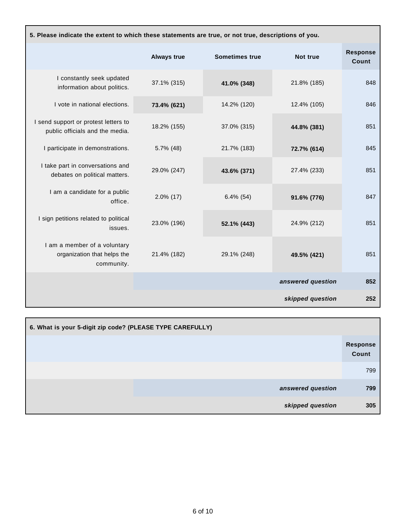| 5. Please indicate the extent to which these statements are true, or not true, descriptions of you. |                    |                       |                   |                          |  |  |
|-----------------------------------------------------------------------------------------------------|--------------------|-----------------------|-------------------|--------------------------|--|--|
|                                                                                                     | <b>Always true</b> | <b>Sometimes true</b> | Not true          | <b>Response</b><br>Count |  |  |
| I constantly seek updated<br>information about politics.                                            | 37.1% (315)        | 41.0% (348)           | 21.8% (185)       | 848                      |  |  |
| I vote in national elections.                                                                       | 73.4% (621)        | 14.2% (120)           | 12.4% (105)       | 846                      |  |  |
| I send support or protest letters to<br>public officials and the media.                             | 18.2% (155)        | 37.0% (315)           | 44.8% (381)       | 851                      |  |  |
| I participate in demonstrations.                                                                    | $5.7\%$ (48)       | 21.7% (183)           | 72.7% (614)       | 845                      |  |  |
| I take part in conversations and<br>debates on political matters.                                   | 29.0% (247)        | 43.6% (371)           | 27.4% (233)       | 851                      |  |  |
| I am a candidate for a public<br>office.                                                            | $2.0\%$ (17)       | $6.4\%$ (54)          | 91.6% (776)       | 847                      |  |  |
| I sign petitions related to political<br>issues.                                                    | 23.0% (196)        | 52.1% (443)           | 24.9% (212)       | 851                      |  |  |
| I am a member of a voluntary<br>organization that helps the<br>community.                           | 21.4% (182)        | 29.1% (248)           | 49.5% (421)       | 851                      |  |  |
|                                                                                                     |                    |                       | answered question | 852                      |  |  |
|                                                                                                     |                    |                       | skipped question  | 252                      |  |  |

| 6. What is your 5-digit zip code? (PLEASE TYPE CAREFULLY) |                          |
|-----------------------------------------------------------|--------------------------|
|                                                           | <b>Response</b><br>Count |
|                                                           | 799                      |
| answered question                                         | 799                      |
| skipped question                                          | 305                      |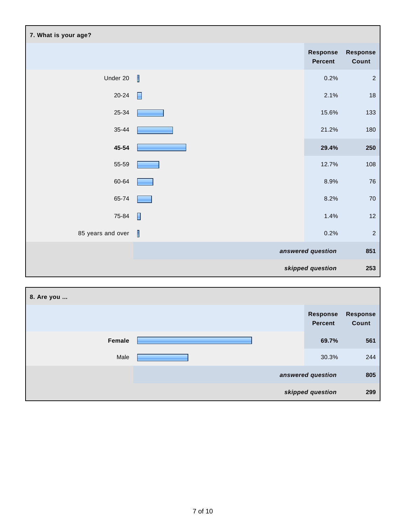| 7. What is your age? |                          |                            |                   |
|----------------------|--------------------------|----------------------------|-------------------|
|                      |                          | Response<br><b>Percent</b> | Response<br>Count |
| Under 20             | $\overline{\phantom{a}}$ | 0.2%                       | $\sqrt{2}$        |
| $20 - 24$            | $\blacksquare$           | 2.1%                       | $18\,$            |
| $25 - 34$            |                          | 15.6%                      | 133               |
| $35 - 44$            |                          | 21.2%                      | 180               |
| 45-54                |                          | 29.4%                      | 250               |
| 55-59                |                          | 12.7%                      | 108               |
| 60-64                |                          | 8.9%                       | ${\bf 76}$        |
| 65-74                |                          | 8.2%                       | $70\,$            |
| 75-84                | П                        | 1.4%                       | $12 \overline{ }$ |
| 85 years and over    | I                        | 0.2%                       | $\sqrt{2}$        |
|                      |                          | answered question          | 851               |
|                      |                          | skipped question           | 253               |

| 8. Are you |                                   |                          |
|------------|-----------------------------------|--------------------------|
|            | <b>Response</b><br><b>Percent</b> | <b>Response</b><br>Count |
| Female     | 69.7%                             | 561                      |
| Male       | 30.3%                             | 244                      |
|            | answered question                 | 805                      |
|            | skipped question                  | 299                      |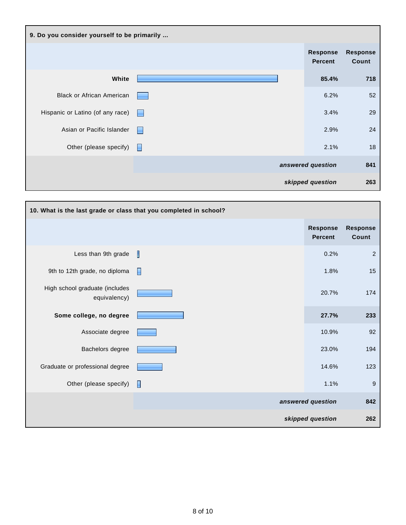

| 10. What is the last grade or class that you completed in school? |   |                                   |                          |
|-------------------------------------------------------------------|---|-----------------------------------|--------------------------|
|                                                                   |   | <b>Response</b><br><b>Percent</b> | <b>Response</b><br>Count |
| Less than 9th grade                                               | Π | 0.2%                              | $\boldsymbol{2}$         |
| 9th to 12th grade, no diploma                                     | E | 1.8%                              | 15                       |
| High school graduate (includes<br>equivalency)                    |   | 20.7%                             | 174                      |
| Some college, no degree                                           |   | 27.7%                             | 233                      |
| Associate degree                                                  |   | 10.9%                             | 92                       |
| Bachelors degree                                                  |   | 23.0%                             | 194                      |
| Graduate or professional degree                                   |   | 14.6%                             | 123                      |
| Other (please specify)                                            | П | 1.1%                              | $9$                      |
|                                                                   |   | answered question                 | 842                      |
|                                                                   |   | skipped question                  | 262                      |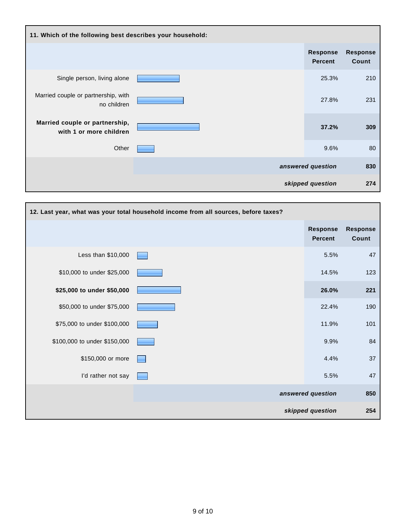| 11. Which of the following best describes your household: |  |                                   |                          |  |  |
|-----------------------------------------------------------|--|-----------------------------------|--------------------------|--|--|
|                                                           |  | <b>Response</b><br><b>Percent</b> | <b>Response</b><br>Count |  |  |
| Single person, living alone                               |  | 25.3%                             | 210                      |  |  |
| Married couple or partnership, with<br>no children        |  | 27.8%                             | 231                      |  |  |
| Married couple or partnership,<br>with 1 or more children |  | 37.2%                             | 309                      |  |  |
| Other                                                     |  | 9.6%                              | 80                       |  |  |
|                                                           |  | answered question                 | 830                      |  |  |
|                                                           |  | skipped question                  | 274                      |  |  |

| 12. Last year, what was your total household income from all sources, before taxes? |  |                                   |                          |  |  |
|-------------------------------------------------------------------------------------|--|-----------------------------------|--------------------------|--|--|
|                                                                                     |  | <b>Response</b><br><b>Percent</b> | <b>Response</b><br>Count |  |  |
| Less than \$10,000                                                                  |  | 5.5%                              | 47                       |  |  |
| \$10,000 to under \$25,000                                                          |  | 14.5%                             | 123                      |  |  |
| \$25,000 to under \$50,000                                                          |  | 26.0%                             | 221                      |  |  |
| \$50,000 to under \$75,000                                                          |  | 22.4%                             | 190                      |  |  |
| \$75,000 to under \$100,000                                                         |  | 11.9%                             | 101                      |  |  |
| \$100,000 to under \$150,000                                                        |  | 9.9%                              | 84                       |  |  |
| \$150,000 or more                                                                   |  | 4.4%                              | 37                       |  |  |
| I'd rather not say                                                                  |  | 5.5%                              | 47                       |  |  |
|                                                                                     |  | answered question                 | 850                      |  |  |
|                                                                                     |  | skipped question                  | 254                      |  |  |